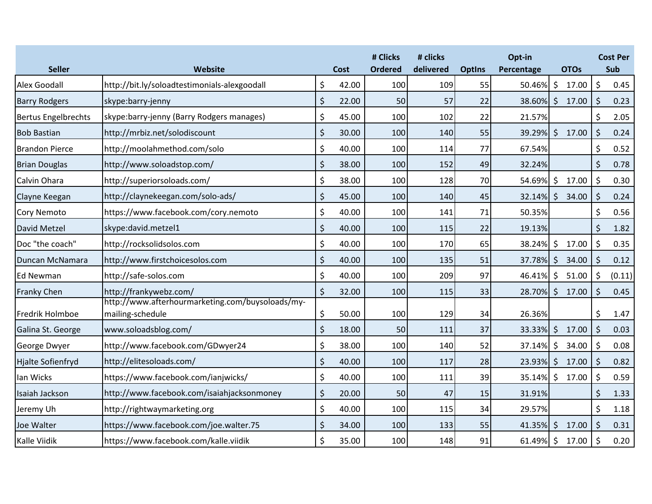| <b>Seller</b>              | Website                                                              | Cost        | # Clicks<br><b>Ordered</b> | # clicks<br>delivered | <b>Optins</b> | Opt-in<br>Percentage |                    | <b>OTOs</b> |         | <b>Cost Per</b><br>Sub |
|----------------------------|----------------------------------------------------------------------|-------------|----------------------------|-----------------------|---------------|----------------------|--------------------|-------------|---------|------------------------|
| <b>Alex Goodall</b>        | http://bit.ly/soloadtestimonials-alexgoodall                         | \$<br>42.00 | 100                        | 109                   | 55            | 50.46%               | $\zeta$            | 17.00       | \$      | 0.45                   |
| <b>Barry Rodgers</b>       | skype:barry-jenny                                                    | \$<br>22.00 | 50                         | 57                    | 22            | 38.60%               | $\zeta$            | 17.00       | \$      | 0.23                   |
| <b>Bertus Engelbrechts</b> | skype:barry-jenny (Barry Rodgers manages)                            | \$<br>45.00 | 100                        | 102                   | 22            | 21.57%               |                    |             | \$      | 2.05                   |
| <b>Bob Bastian</b>         | http://mrbiz.net/solodiscount                                        | \$<br>30.00 | 100                        | 140                   | 55            | $39.29\%$ \$         |                    | 17.00       | \$      | 0.24                   |
| <b>Brandon Pierce</b>      | http://moolahmethod.com/solo                                         | \$<br>40.00 | 100                        | 114                   | 77            | 67.54%               |                    |             | \$      | 0.52                   |
| <b>Brian Douglas</b>       | http://www.soloadstop.com/                                           | \$<br>38.00 | 100                        | 152                   | 49            | 32.24%               |                    |             | \$      | 0.78                   |
| Calvin Ohara               | http://superiorsoloads.com/                                          | \$<br>38.00 | 100                        | 128                   | 70            | 54.69%               | $\zeta$            | 17.00       | \$      | 0.30                   |
| Clayne Keegan              | http://claynekeegan.com/solo-ads/                                    | \$<br>45.00 | 100                        | 140                   | 45            | $32.14\%$ \$         |                    | 34.00       | \$      | 0.24                   |
| <b>Cory Nemoto</b>         | https://www.facebook.com/cory.nemoto                                 | \$<br>40.00 | 100                        | 141                   | 71            | 50.35%               |                    |             | \$      | 0.56                   |
| David Metzel               | skype:david.metzel1                                                  | \$<br>40.00 | 100                        | 115                   | 22            | 19.13%               |                    |             | $\zeta$ | 1.82                   |
| Doc "the coach"            | http://rocksolidsolos.com                                            | \$<br>40.00 | 100                        | 170                   | 65            | 38.24%               | \$                 | 17.00       | \$      | 0.35                   |
| Duncan McNamara            | http://www.firstchoicesolos.com                                      | \$<br>40.00 | 100                        | 135                   | 51            | 37.78%               | $\zeta$            | 34.00       | \$      | 0.12                   |
| <b>Ed Newman</b>           | http://safe-solos.com                                                | \$<br>40.00 | 100                        | 209                   | 97            | 46.41%               | $\zeta$            | 51.00       | $\zeta$ | (0.11)                 |
| Franky Chen                | http://frankywebz.com/                                               | \$<br>32.00 | 100                        | 115                   | 33            | 28.70%               | $\zeta$            | 17.00       | \$      | 0.45                   |
| Fredrik Holmboe            | http://www.afterhourmarketing.com/buysoloads/my-<br>mailing-schedule | \$<br>50.00 | 100                        | 129                   | 34            | 26.36%               |                    |             | \$      | 1.47                   |
| Galina St. George          | www.soloadsblog.com/                                                 | \$<br>18.00 | 50                         | 111                   | 37            | 33.33%               | $\zeta$            | 17.00       | $\zeta$ | 0.03                   |
| George Dwyer               | http://www.facebook.com/GDwyer24                                     | \$<br>38.00 | 100                        | 140                   | 52            | 37.14%               | \$                 | 34.00       | \$      | 0.08                   |
| <b>Hjalte Sofienfryd</b>   | http://elitesoloads.com/                                             | \$<br>40.00 | 100                        | 117                   | 28            | 23.93% \$            |                    | 17.00       | \$      | 0.82                   |
| lan Wicks                  | https://www.facebook.com/ianjwicks/                                  | \$<br>40.00 | 100                        | 111                   | 39            | 35.14%               | $\zeta$            | 17.00       | \$      | 0.59                   |
| Isaiah Jackson             | http://www.facebook.com/isaiahjacksonmoney                           | \$<br>20.00 | 50                         | 47                    | 15            | 31.91%               |                    |             | \$      | 1.33                   |
| Jeremy Uh                  | http://rightwaymarketing.org                                         | \$<br>40.00 | 100                        | 115                   | 34            | 29.57%               |                    |             | \$      | 1.18                   |
| Joe Walter                 | https://www.facebook.com/joe.walter.75                               | \$<br>34.00 | 100                        | 133                   | 55            | 41.35%               | $\zeta$            | 17.00       | $\zeta$ | 0.31                   |
| Kalle Viidik               | https://www.facebook.com/kalle.viidik                                | \$<br>35.00 | 100                        | 148                   | 91            | 61.49%               | $\ddot{\varsigma}$ | 17.00       | \$      | 0.20                   |